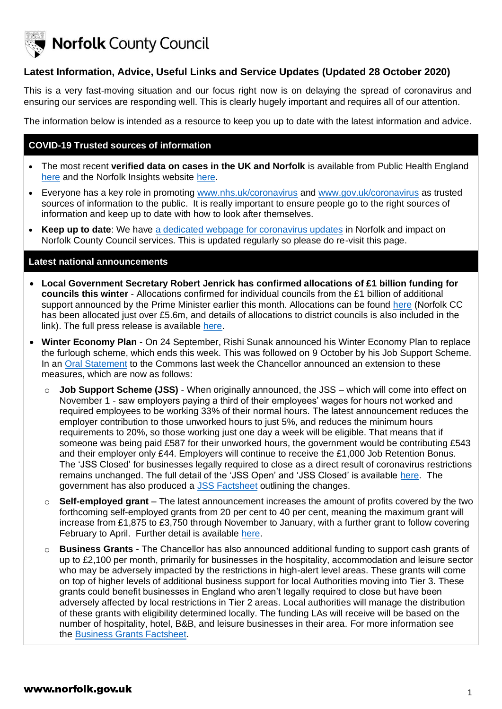

**Norfolk County Council** 

# **Latest Information, Advice, Useful Links and Service Updates (Updated 28 October 2020)**

This is a very fast-moving situation and our focus right now is on delaying the spread of coronavirus and ensuring our services are responding well. This is clearly hugely important and requires all of our attention.

The information below is intended as a resource to keep you up to date with the latest information and advice.

## **COVID-19 Trusted sources of information**

- The most recent **verified data on cases in the UK and Norfolk** is available from Public Health England [here](https://www.gov.uk/government/publications/covid-19-track-coronavirus-cases) and the Norfolk Insights website [here.](https://www.norfolkinsight.org.uk/coronavirus/)
- Everyone has a key role in promoting [www.nhs.uk/coronavirus](http://www.nhs.uk/coronavirus) and [www.gov.uk/coronavirus](http://www.gov.uk/coronavirus) as trusted sources of information to the public. It is really important to ensure people go to the right sources of information and keep up to date with how to look after themselves.
- **Keep up to date**: We have [a dedicated webpage for coronavirus updates](https://www.norfolk.gov.uk/care-support-and-health/health-and-wellbeing/adults-health/coronavirus/community-support-for-people-at-home/help-with-home-food-and-finances/help-if-you-are-self-isolating) in Norfolk and impact on Norfolk County Council services. This is updated regularly so please do re-visit this page.

#### **Latest national announcements**

- **Local Government Secretary Robert Jenrick has confirmed allocations of £1 billion funding for councils this winter** - Allocations confirmed for individual councils from the £1 billion of additional support announced by the Prime Minister earlier this month. Allocations can be found [here](https://www.gov.uk/government/publications/covid-19-emergency-funding-for-local-government) (Norfolk CC has been allocated just over £5.6m, and details of allocations to district councils is also included in the link). The full press release is available [here.](https://www.gov.uk/government/news/jenrick-confirms-allocations-of-1-billion-funding-for-councils-this-winter)
- **Winter Economy Plan** On 24 September, Rishi Sunak announced his Winter Economy Plan to replace the furlough scheme, which ends this week. This was followed on 9 October by his Job Support Scheme. In an [Oral Statement](https://www.gov.uk/government/speeches/chancellor-statement-to-the-house-plan-for-jobs) to the Commons last week the Chancellor announced an extension to these measures, which are now as follows:
	- o **Job Support Scheme (JSS)** When originally announced, the JSS which will come into effect on November 1 - saw employers paying a third of their employees' wages for hours not worked and required employees to be working 33% of their normal hours. The latest announcement reduces the employer contribution to those unworked hours to just 5%, and reduces the minimum hours requirements to 20%, so those working just one day a week will be eligible. That means that if someone was being paid £587 for their unworked hours, the government would be contributing £543 and their employer only £44. Employers will continue to receive the £1,000 Job Retention Bonus. The 'JSS Closed' for businesses legally required to close as a direct result of coronavirus restrictions remains unchanged. The full detail of the 'JSS Open' and 'JSS Closed' is available [here.](https://www.gov.uk/government/publications/the-job-support-scheme/the-job-support-scheme) The government has also produced a [JSS Factsheet](https://assets.publishing.service.gov.uk/government/uploads/system/uploads/attachment_data/file/928761/JSS_Open_factsheet.pdf) outlining the changes.
	- o **Self-employed grant** The latest announcement increases the amount of profits covered by the two forthcoming self-employed grants from 20 per cent to 40 per cent, meaning the maximum grant will increase from £1,875 to £3,750 through November to January, with a further grant to follow covering February to April. Further detail is available [here.](https://www.gov.uk/government/publications/self-employment-income-support-scheme-grant-extension/self-employment-income-support-scheme-grant-extension)
	- o **Business Grants** The Chancellor has also announced additional funding to support cash grants of up to £2,100 per month, primarily for businesses in the hospitality, accommodation and leisure sector who may be adversely impacted by the restrictions in high-alert level areas. These grants will come on top of higher levels of additional business support for local Authorities moving into Tier 3. These grants could benefit businesses in England who aren't legally required to close but have been adversely affected by local restrictions in Tier 2 areas. Local authorities will manage the distribution of these grants with eligibility determined locally. The funding LAs will receive will be based on the number of hospitality, hotel, B&B, and leisure businesses in their area. For more information see the [Business Grants Factsheet.](https://assets.publishing.service.gov.uk/government/uploads/system/uploads/attachment_data/file/929229/BUSINESS_GRANTS_FACTSHEET.pdf)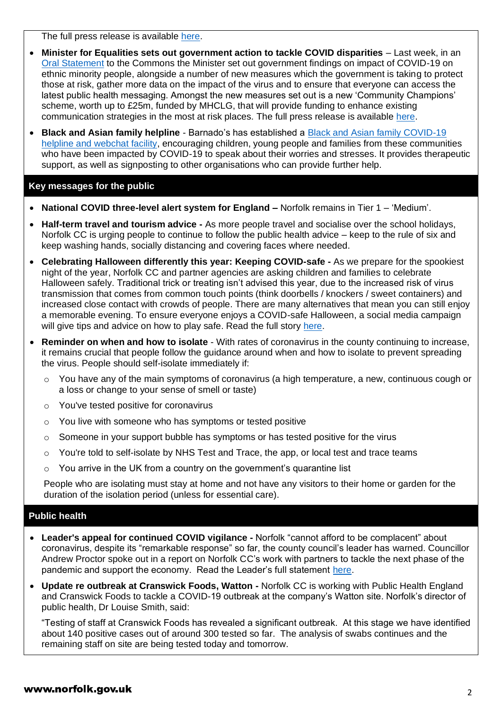The full press release is available [here.](https://www.gov.uk/government/news/plan-for-jobs-chancellor-increases-financial-support-for-businesses-and-workers)

- **Minister for Equalities sets out government action to tackle COVID disparities** Last week, in an [Oral Statement](https://www.gov.uk/government/speeches/oral-statement-quarterly-report-on-progress-to-address-covid-19-health-inequalities) to the Commons the Minister set out government findings on impact of COVID-19 on ethnic minority people, alongside a number of new measures which the government is taking to protect those at risk, gather more data on the impact of the virus and to ensure that everyone can access the latest public health messaging. Amongst the new measures set out is a new 'Community Champions' scheme, worth up to £25m, funded by MHCLG, that will provide funding to enhance existing communication strategies in the most at risk places. The full press release is available [here.](https://www.gov.uk/government/news/minister-for-equalities-sets-out-government-action-to-tackle-covid-disparities)
- **Black and Asian family helpline** Barnado's has established a Black and [Asian family COVID-19](https://helpline.barnardos.org.uk/)  [helpline and webchat facility,](https://helpline.barnardos.org.uk/) encouraging children, young people and families from these communities who have been impacted by COVID-19 to speak about their worries and stresses. It provides therapeutic support, as well as signposting to other organisations who can provide further help.

# **Key messages for the public**

- **National COVID three-level alert system for England –** Norfolk remains in Tier 1 'Medium'.
- **Half-term travel and tourism advice -** As more people travel and socialise over the school holidays, Norfolk CC is urging people to continue to follow the public health advice – keep to the rule of six and keep washing hands, socially distancing and covering faces where needed.
- **Celebrating Halloween differently this year: Keeping COVID-safe -** As we prepare for the spookiest night of the year, Norfolk CC and partner agencies are asking children and families to celebrate Halloween safely. Traditional trick or treating isn't advised this year, due to the increased risk of virus transmission that comes from common touch points (think doorbells / knockers / sweet containers) and increased close contact with crowds of people. There are many alternatives that mean you can still enjoy a memorable evening. To ensure everyone enjoys a COVID-safe Halloween, a social media campaign will give tips and advice on how to play safe. Read the full story [here.](https://www.norfolk.gov.uk/news/2020/10/celebrating-halloween-differently-this-year-keeping-covid-safe)
- **Reminder on when and how to isolate** With rates of coronavirus in the county continuing to increase, it remains crucial that people follow the guidance around when and how to isolate to prevent spreading the virus. People should self-isolate immediately if:
	- o You have any of the main symptoms of coronavirus (a high temperature, a new, continuous cough or a loss or change to your sense of smell or taste)
	- o You've tested positive for coronavirus
	- o You live with someone who has symptoms or tested positive
	- $\circ$  Someone in your support bubble has symptoms or has tested positive for the virus
	- $\circ$  You're told to self-isolate by NHS Test and Trace, the app, or local test and trace teams
	- $\circ$  You arrive in the UK from a country on the government's quarantine list

People who are isolating must stay at home and not have any visitors to their home or garden for the duration of the isolation period (unless for essential care).

# **Public health**

- **Leader's appeal for continued COVID vigilance -** Norfolk "cannot afford to be complacent" about coronavirus, despite its "remarkable response" so far, the county council's leader has warned. Councillor Andrew Proctor spoke out in a report on Norfolk CC's work with partners to tackle the next phase of the pandemic and support the economy. Read the Leader's full statement [here.](https://www.norfolk.gov.uk/news/2020/10/leaders-appeal-for-continued-covid-vigilance)
- **Update re outbreak at Cranswick Foods, Watton -** Norfolk CC is working with Public Health England and Cranswick Foods to tackle a COVID-19 outbreak at the company's Watton site. Norfolk's director of public health, Dr Louise Smith, said:

"Testing of staff at Cranswick Foods has revealed a significant outbreak. At this stage we have identified about 140 positive cases out of around 300 tested so far. The analysis of swabs continues and the remaining staff on site are being tested today and tomorrow.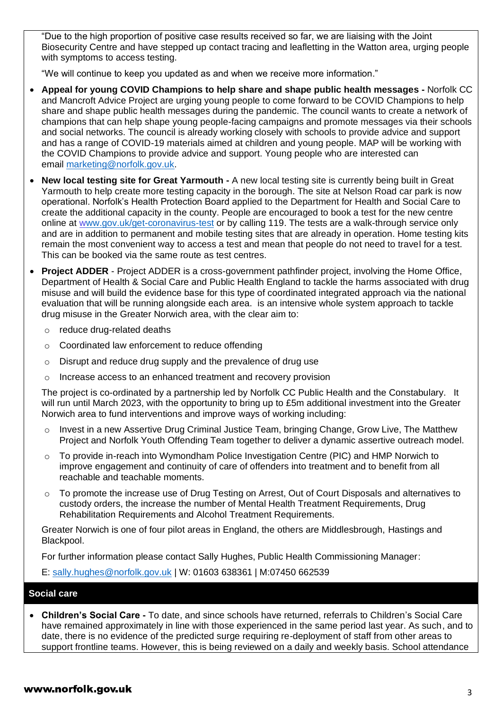"Due to the high proportion of positive case results received so far, we are liaising with the Joint Biosecurity Centre and have stepped up contact tracing and leafletting in the Watton area, urging people with symptoms to access testing.

"We will continue to keep you updated as and when we receive more information."

- **Appeal for young COVID Champions to help share and shape public health messages -** Norfolk CC and Mancroft Advice Project are urging young people to come forward to be COVID Champions to help share and shape public health messages during the pandemic. The council wants to create a network of champions that can help shape young people-facing campaigns and promote messages via their schools and social networks. The council is already working closely with schools to provide advice and support and has a range of COVID-19 materials aimed at children and young people. MAP will be working with the COVID Champions to provide advice and support. Young people who are interested can email [marketing@norfolk.gov.uk.](mailto:marketing@norfolk.gov.uk)
- **New local testing site for Great Yarmouth -** A new local testing site is currently being built in Great Yarmouth to help create more testing capacity in the borough. The site at Nelson Road car park is now operational. Norfolk's Health Protection Board applied to the Department for Health and Social Care to create the additional capacity in the county. People are encouraged to book a test for the new centre online at [www.gov.uk/get-coronavirus-test](https://www.gov.uk/get-coronavirus-test) or by calling 119. The tests are a walk-through service only and are in addition to permanent and mobile testing sites that are already in operation. Home testing kits remain the most convenient way to access a test and mean that people do not need to travel for a test. This can be booked via the same route as test centres.
- **Project ADDER** Project ADDER is a cross-government pathfinder project, involving the Home Office, Department of Health & Social Care and Public Health England to tackle the harms associated with drug misuse and will build the evidence base for this type of coordinated integrated approach via the national evaluation that will be running alongside each area. is an intensive whole system approach to tackle drug misuse in the Greater Norwich area, with the clear aim to:
	- o reduce drug-related deaths
	- o Coordinated law enforcement to reduce offending
	- o Disrupt and reduce drug supply and the prevalence of drug use
	- o Increase access to an enhanced treatment and recovery provision

The project is co-ordinated by a partnership led by Norfolk CC Public Health and the Constabulary. It will run until March 2023, with the opportunity to bring up to £5m additional investment into the Greater Norwich area to fund interventions and improve ways of working including:

- $\circ$  Invest in a new Assertive Drug Criminal Justice Team, bringing Change, Grow Live, The Matthew Project and Norfolk Youth Offending Team together to deliver a dynamic assertive outreach model.
- o To provide in-reach into Wymondham Police Investigation Centre (PIC) and HMP Norwich to improve engagement and continuity of care of offenders into treatment and to benefit from all reachable and teachable moments.
- To promote the increase use of Drug Testing on Arrest, Out of Court Disposals and alternatives to custody orders, the increase the number of Mental Health Treatment Requirements, Drug Rehabilitation Requirements and Alcohol Treatment Requirements.

Greater Norwich is one of four pilot areas in England, the others are Middlesbrough, Hastings and Blackpool.

For further information please contact Sally Hughes, Public Health Commissioning Manager:

E: [sally.hughes@norfolk.gov.uk](mailto:sally.hughes@norfolk.gov.uk) | W: 01603 638361 | M:07450 662539

### **Social care**

• **Children's Social Care -** To date, and since schools have returned, referrals to Children's Social Care have remained approximately in line with those experienced in the same period last year. As such, and to date, there is no evidence of the predicted surge requiring re-deployment of staff from other areas to support frontline teams. However, this is being reviewed on a daily and weekly basis. School attendance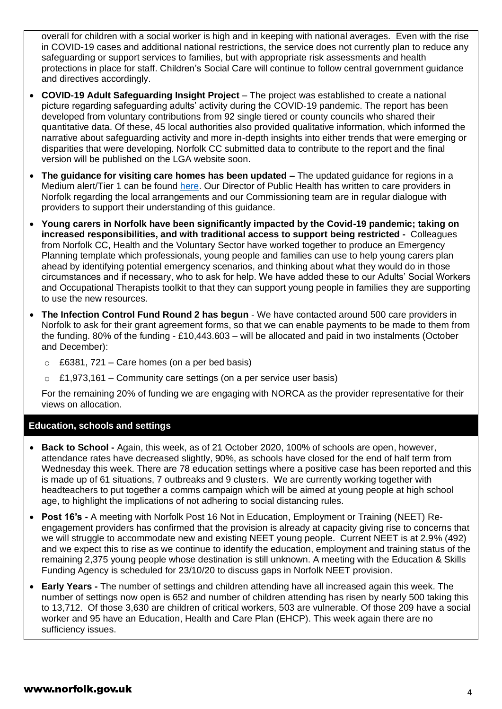overall for children with a social worker is high and in keeping with national averages. Even with the rise in COVID-19 cases and additional national restrictions, the service does not currently plan to reduce any safeguarding or support services to families, but with appropriate risk assessments and health protections in place for staff. Children's Social Care will continue to follow central government guidance and directives accordingly.

- **COVID-19 Adult Safeguarding Insight Project** The project was established to create a national picture regarding safeguarding adults' activity during the COVID-19 pandemic. The report has been developed from voluntary contributions from 92 single tiered or county councils who shared their quantitative data. Of these, 45 local authorities also provided qualitative information, which informed the narrative about safeguarding activity and more in-depth insights into either trends that were emerging or disparities that were developing. Norfolk CC submitted data to contribute to the report and the final version will be published on the LGA website soon.
- **The guidance for visiting care homes has been updated –** The updated guidance for regions in a Medium alert/Tier 1 can be found [here.](https://www.gov.uk/government/publications/visiting-care-homes-during-coronavirus/update-on-policies-for-visiting-arrangements-in-care-homes) Our Director of Public Health has written to care providers in Norfolk regarding the local arrangements and our Commissioning team are in regular dialogue with providers to support their understanding of this guidance.
- **Young carers in Norfolk have been significantly impacted by the Covid-19 pandemic; taking on increased responsibilities, and with traditional access to support being restricted -** Colleagues from Norfolk CC, Health and the Voluntary Sector have worked together to produce an Emergency Planning template which professionals, young people and families can use to help young carers plan ahead by identifying potential emergency scenarios, and thinking about what they would do in those circumstances and if necessary, who to ask for help. We have added these to our Adults' Social Workers and Occupational Therapists toolkit to that they can support young people in families they are supporting to use the new resources.
- **The Infection Control Fund Round 2 has begun**  We have contacted around 500 care providers in Norfolk to ask for their grant agreement forms, so that we can enable payments to be made to them from the funding. 80% of the funding - £10,443.603 – will be allocated and paid in two instalments (October and December):
	- $\circ$  £6381, 721 Care homes (on a per bed basis)
	- $\circ$  £1,973,161 Community care settings (on a per service user basis)

For the remaining 20% of funding we are engaging with NORCA as the provider representative for their views on allocation.

### **Education, schools and settings**

- **Back to School -** Again, this week, as of 21 October 2020, 100% of schools are open, however, attendance rates have decreased slightly, 90%, as schools have closed for the end of half term from Wednesday this week. There are 78 education settings where a positive case has been reported and this is made up of 61 situations, 7 outbreaks and 9 clusters. We are currently working together with headteachers to put together a comms campaign which will be aimed at young people at high school age, to highlight the implications of not adhering to social distancing rules.
- **Post 16's -** A meeting with Norfolk Post 16 Not in Education, Employment or Training (NEET) Reengagement providers has confirmed that the provision is already at capacity giving rise to concerns that we will struggle to accommodate new and existing NEET young people. Current NEET is at 2.9% (492) and we expect this to rise as we continue to identify the education, employment and training status of the remaining 2,375 young people whose destination is still unknown. A meeting with the Education & Skills Funding Agency is scheduled for 23/10/20 to discuss gaps in Norfolk NEET provision.
- **Early Years -** The number of settings and children attending have all increased again this week. The number of settings now open is 652 and number of children attending has risen by nearly 500 taking this to 13,712. Of those 3,630 are children of critical workers, 503 are vulnerable. Of those 209 have a social worker and 95 have an Education, Health and Care Plan (EHCP). This week again there are no sufficiency issues.